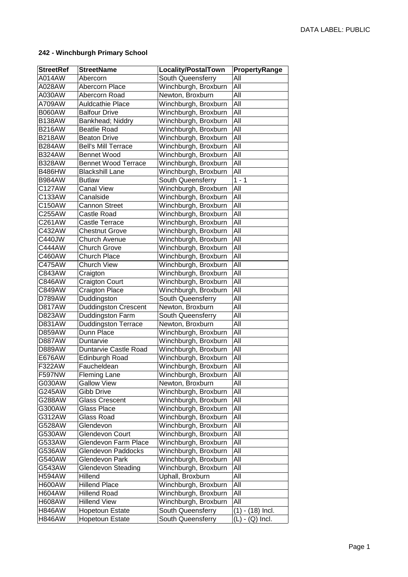## **242 - Winchburgh Primary School**

| <b>StreetRef</b> | <b>StreetName</b>           | <b>Locality/PostalTown</b> | PropertyRange      |
|------------------|-----------------------------|----------------------------|--------------------|
| A014AW           | Abercorn                    | South Queensferry          | All                |
| A028AW           | Abercorn Place              | Winchburgh, Broxburn       | All                |
| A030AW           | Abercorn Road               | Newton, Broxburn           | All                |
| A709AW           | <b>Auldcathie Place</b>     | Winchburgh, Broxburn       | All                |
| <b>B060AW</b>    | <b>Balfour Drive</b>        | Winchburgh, Broxburn       | All                |
| <b>B138AW</b>    | Bankhead; Niddry            | Winchburgh, Broxburn       | All                |
| <b>B216AW</b>    | <b>Beatlie Road</b>         | Winchburgh, Broxburn       | All                |
| <b>B218AW</b>    | <b>Beaton Drive</b>         | Winchburgh, Broxburn       | All                |
| <b>B284AW</b>    | <b>Bell's Mill Terrace</b>  | Winchburgh, Broxburn       | All                |
| <b>B324AW</b>    | <b>Bennet Wood</b>          | Winchburgh, Broxburn       | All                |
| <b>B328AW</b>    | <b>Bennet Wood Terrace</b>  | Winchburgh, Broxburn       | All                |
| <b>B486HW</b>    | <b>Blackshill Lane</b>      | Winchburgh, Broxburn       | All                |
| <b>B984AW</b>    | <b>Butlaw</b>               | South Queensferry          | $1 - \overline{1}$ |
| C127AW           | <b>Canal View</b>           | Winchburgh, Broxburn       | All                |
| C133AW           | Canalside                   | Winchburgh, Broxburn       | All                |
| C150AW           | <b>Cannon Street</b>        | Winchburgh, Broxburn       | All                |
| C255AW           | <b>Castle Road</b>          | Winchburgh, Broxburn       | All                |
| C261AW           | Castle Terrace              | Winchburgh, Broxburn       | All                |
| C432AW           | <b>Chestnut Grove</b>       | Winchburgh, Broxburn       | All                |
| C440JW           | <b>Church Avenue</b>        | Winchburgh, Broxburn       | All                |
| C444AW           | <b>Church Grove</b>         | Winchburgh, Broxburn       | All                |
| C460AW           | <b>Church Place</b>         | Winchburgh, Broxburn       | All                |
| C475AW           | <b>Church View</b>          | Winchburgh, Broxburn       | All                |
| C843AW           | Craigton                    | Winchburgh, Broxburn       | All                |
| C846AW           | <b>Craigton Court</b>       | Winchburgh, Broxburn       | All                |
| C849AW           | <b>Craigton Place</b>       | Winchburgh, Broxburn       | All                |
| D789AW           | Duddingston                 | South Queensferry          | All                |
| <b>D817AW</b>    | <b>Duddingston Crescent</b> | Newton, Broxburn           | All                |
| D823AW           | Duddingston Farm            | South Queensferry          | All                |
| D831AW           | <b>Duddingston Terrace</b>  | Newton, Broxburn           | All                |
| D859AW           | Dunn Place                  | Winchburgh, Broxburn       | All                |
| <b>D887AW</b>    | Duntarvie                   | Winchburgh, Broxburn       | All                |
| D889AW           | Duntarvie Castle Road       | Winchburgh, Broxburn       | All                |
| E676AW           | Edinburgh Road              | Winchburgh, Broxburn       | All                |
| F322AW           | Faucheldean                 | Winchburgh, Broxburn       | All                |
| <b>F597NW</b>    | <b>Fleming Lane</b>         | Winchburgh, Broxburn       | All                |
| G030AW           | <b>Gallow View</b>          | Newton, Broxburn           | All                |
| G245AW           | Gibb Drive                  | Winchburgh, Broxburn       | All                |
| G288AW           | <b>Glass Crescent</b>       | Winchburgh, Broxburn       | All                |
| G300AW           | <b>Glass Place</b>          | Winchburgh, Broxburn       | All                |
| G312AW           | Glass Road                  | Winchburgh, Broxburn       | All                |
| G528AW           | Glendevon                   | Winchburgh, Broxburn       | All                |
| G530AW           | Glendevon Court             | Winchburgh, Broxburn       | All                |
| G533AW           | Glendevon Farm Place        | Winchburgh, Broxburn       | All                |
| G536AW           | Glendevon Paddocks          | Winchburgh, Broxburn       | All                |
| G540AW           | Glendevon Park              | Winchburgh, Broxburn       | All                |
| G543AW           | Glendevon Steading          | Winchburgh, Broxburn       | All                |
| <b>H594AW</b>    | Hillend                     | Uphall, Broxburn           | All                |
| <b>H600AW</b>    | <b>Hillend Place</b>        | Winchburgh, Broxburn       | All                |
| <b>H604AW</b>    | <b>Hillend Road</b>         | Winchburgh, Broxburn       | All                |
| <b>H608AW</b>    | <b>Hillend View</b>         | Winchburgh, Broxburn       | All                |
| <b>H846AW</b>    | <b>Hopetoun Estate</b>      | South Queensferry          | $(1) - (18)$ Incl. |
| <b>H846AW</b>    | <b>Hopetoun Estate</b>      | South Queensferry          | $(L) - (Q)$ Incl.  |